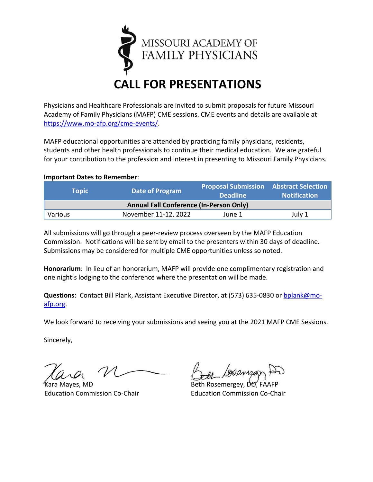

Physicians and Healthcare Professionals are invited to submit proposals for future Missouri Academy of Family Physicians (MAFP) CME sessions. CME events and details are available at [https://www.mo-afp.org/cme-events/.](https://www.mo-afp.org/cme-events/)

MAFP educational opportunities are attended by practicing family physicians, residents, students and other health professionals to continue their medical education. We are grateful for your contribution to the profession and interest in presenting to Missouri Family Physicians.

## **Important Dates to Remember**:

| <b>Topic</b> \                                 | Date of Program      | <b>Proposal Submission Abstract Selection</b><br><b>Deadline</b> | <b>Notification</b> |  |
|------------------------------------------------|----------------------|------------------------------------------------------------------|---------------------|--|
| <b>Annual Fall Conference (In-Person Only)</b> |                      |                                                                  |                     |  |
| Various                                        | November 11-12, 2022 | June 1                                                           | July 1              |  |

All submissions will go through a peer-review process overseen by the MAFP Education Commission. Notifications will be sent by email to the presenters within 30 days of deadline. Submissions may be considered for multiple CME opportunities unless so noted.

**Honorarium**: In lieu of an honorarium, MAFP will provide one complimentary registration and one night's lodging to the conference where the presentation will be made.

**Questions**: Contact Bill Plank, Assistant Executive Director, at (573) 635-0830 or [bplank@mo](mailto:bplank@mo-afp.org)[afp.org.](mailto:bplank@mo-afp.org)

We look forward to receiving your submissions and seeing you at the 2021 MAFP CME Sessions.

Sincerely,

Kara Mayes, MD Beth Rosemergey, DO, FAAFP Education Commission Co-Chair Education Commission Co-Chair